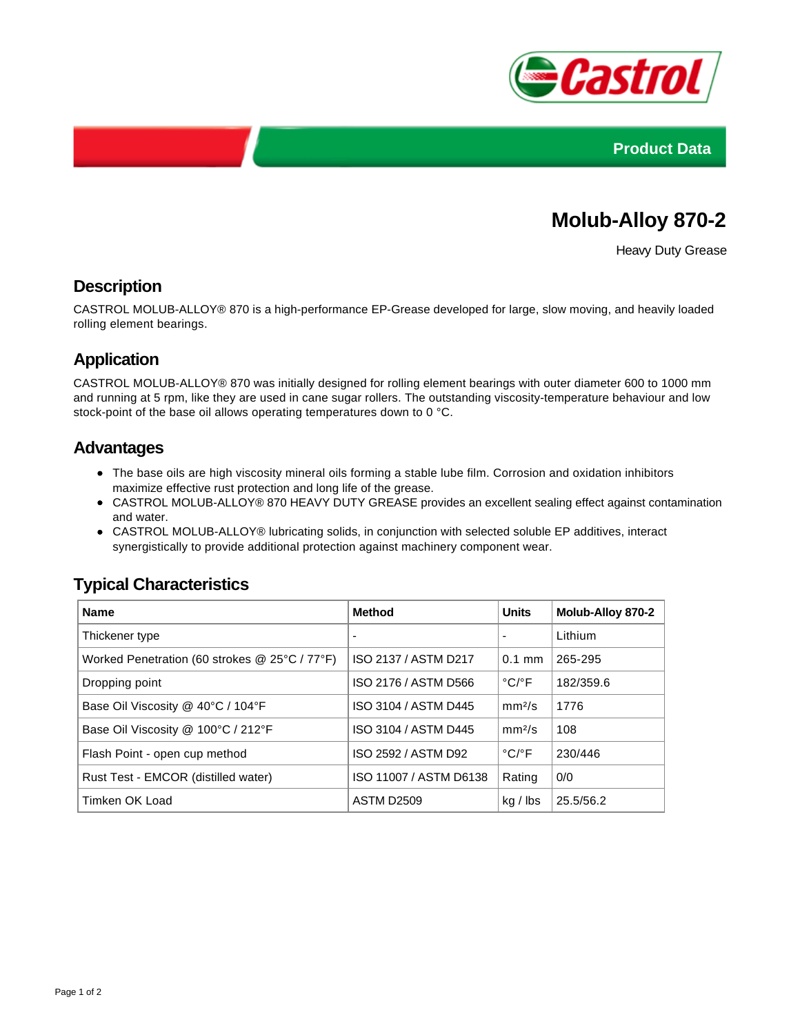



# **Molub-Alloy 870-2**

Heavy Duty Grease

#### **Description**

CASTROL MOLUB-ALLOY® 870 is a high-performance EP-Grease developed for large, slow moving, and heavily loaded rolling element bearings.

## **Application**

CASTROL MOLUB-ALLOY® 870 was initially designed for rolling element bearings with outer diameter 600 to 1000 mm and running at 5 rpm, like they are used in cane sugar rollers. The outstanding viscosity-temperature behaviour and low stock-point of the base oil allows operating temperatures down to 0 °C.

#### **Advantages**

- The base oils are high viscosity mineral oils forming a stable lube film. Corrosion and oxidation inhibitors maximize effective rust protection and long life of the grease.
- CASTROL MOLUB-ALLOY® 870 HEAVY DUTY GREASE provides an excellent sealing effect against contamination and water.
- CASTROL MOLUB-ALLOY® lubricating solids, in conjunction with selected soluble EP additives, interact synergistically to provide additional protection against machinery component wear.

### **Typical Characteristics**

| <b>Name</b>                                   | <b>Method</b>          | <b>Units</b>               | <b>Molub-Alloy 870-2</b> |
|-----------------------------------------------|------------------------|----------------------------|--------------------------|
| Thickener type                                | $\blacksquare$         | $\overline{\phantom{0}}$   | Lithium                  |
| Worked Penetration (60 strokes @ 25°C / 77°F) | ISO 2137 / ASTM D217   | $0.1$ mm                   | 265-295                  |
| Dropping point                                | ISO 2176 / ASTM D566   | $^{\circ}$ C/ $^{\circ}$ F | 182/359.6                |
| Base Oil Viscosity @ 40°C / 104°F             | ISO 3104 / ASTM D445   | mm <sup>2</sup> /s         | 1776                     |
| Base Oil Viscosity @ 100°C / 212°F            | ISO 3104 / ASTM D445   | mm <sup>2</sup> /s         | 108                      |
| Flash Point - open cup method                 | ISO 2592 / ASTM D92    | $^{\circ}$ C/ $^{\circ}$ F | 230/446                  |
| Rust Test - EMCOR (distilled water)           | ISO 11007 / ASTM D6138 | Rating                     | 0/0                      |
| Timken OK Load                                | <b>ASTM D2509</b>      | kg / lbs                   | 25.5/56.2                |